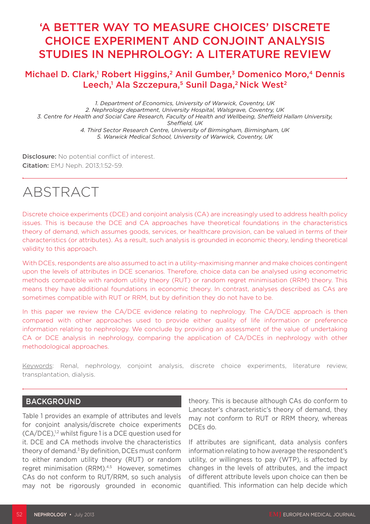# 'A BETTER WAY TO MEASURE CHOICES' DISCRETE CHOICE EXPERIMENT AND CONJOINT ANALYSIS STUDIES IN NEPHROLOGY: A LITERATURE REVIEW

# Michael D. Clark,<sup>1</sup> Robert Higgins,<sup>2</sup> Anil Gumber,<sup>3</sup> Domenico Moro,<sup>4</sup> Dennis Leech,<sup>1</sup> Ala Szczepura,<sup>5</sup> Sunil Daga,<sup>2</sup> Nick West<sup>2</sup>

*1. Department of Economics, University of Warwick, Coventry, UK 2. Nephrology department, University Hospital, Walsgrave, Coventry, UK 3. Centre for Health and Social Care Research, Faculty of Health and Wellbeing, Sheffield Hallam University, Sheffield, UK 4. Third Sector Research Centre, University of Birmingham, Birmingham, UK 5. Warwick Medical School, University of Warwick, Coventry, UK*

Disclosure: No potential conflict of interest. **Citation:** EMJ Neph. 2013;1:52-59.

# ABSTRACT

Discrete choice experiments (DCE) and conjoint analysis (CA) are increasingly used to address health policy issues. This is because the DCE and CA approaches have theoretical foundations in the characteristics theory of demand, which assumes goods, services, or healthcare provision, can be valued in terms of their characteristics (or attributes). As a result, such analysis is grounded in economic theory, lending theoretical validity to this approach.

With DCEs, respondents are also assumed to act in a utility-maximising manner and make choices contingent upon the levels of attributes in DCE scenarios. Therefore, choice data can be analysed using econometric methods compatible with random utility theory (RUT) or random regret minimisation (RRM) theory. This means they have additional foundations in economic theory. In contrast, analyses described as CAs are sometimes compatible with RUT or RRM, but by definition they do not have to be.

In this paper we review the CA/DCE evidence relating to nephrology. The CA/DCE approach is then compared with other approaches used to provide either quality of life information or preference information relating to nephrology. We conclude by providing an assessment of the value of undertaking CA or DCE analysis in nephrology, comparing the application of CA/DCEs in nephrology with other methodological approaches.

Keywords: Renal, nephrology, conjoint analysis, discrete choice experiments, literature review, transplantation, dialysis.

#### BACKGROUND

Table 1 provides an example of attributes and levels for conjoint analysis/discrete choice experiments (CA/DCE),1,2 whilst figure 1 is a DCE question used for it. DCE and CA methods involve the characteristics theory of demand.3 By definition, DCEs must conform to either random utility theory (RUT) or random regret minimisation (RRM).<sup>4,5</sup> However, sometimes CAs do not conform to RUT/RRM, so such analysis may not be rigorously grounded in economic

theory. This is because although CAs do conform to Lancaster's characteristic's theory of demand, they may not conform to RUT or RRM theory, whereas DCEs do.

If attributes are significant, data analysis confers information relating to how average the respondent's utility, or willingness to pay (WTP), is affected by changes in the levels of attributes, and the impact of different attribute levels upon choice can then be quantified. This information can help decide which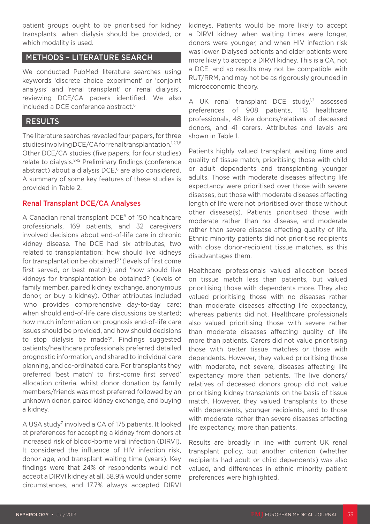patient groups ought to be prioritised for kidney transplants, when dialysis should be provided, or which modality is used.

## METHODS – LITERATURE SEARCH

We conducted PubMed literature searches using keywords 'discrete choice experiment' or 'conjoint analysis' and 'renal transplant' or 'renal dialysis', reviewing DCE/CA papers identified. We also included a DCE conference abstract.6

#### RESULTS

The literature searches revealed four papers, for three studies involving DCE/CA for renal transplantation.<sup>1,2,7,8</sup> Other DCE/CA studies (five papers, for four studies) relate to dialysis.8-12 Preliminary findings (conference abstract) about a dialysis DCE,<sup>6</sup> are also considered. A summary of some key features of these studies is provided in Table 2.

#### Renal Transplant DCE/CA Analyses

A Canadian renal transplant DCE<sup>8</sup> of 150 healthcare professionals, 169 patients, and 32 caregivers involved decisions about end-of-life care in chronic kidney disease. The DCE had six attributes, two related to transplantation: 'how should live kidneys for transplantation be obtained?' (levels of first come first served, or best match); and 'how should live kidneys for transplantation be obtained? (levels of family member, paired kidney exchange, anonymous donor, or buy a kidney). Other attributes included 'who provides comprehensive day-to-day care; when should end-of-life care discussions be started; how much information on prognosis end-of-life care issues should be provided, and how should decisions to stop dialysis be made?'. Findings suggested patients/healthcare professionals preferred detailed prognostic information, and shared to individual care planning, and co-ordinated care. For transplants they preferred 'best match' to 'first-come first served' allocation criteria, whilst donor donation by family members/friends was most preferred followed by an unknown donor, paired kidney exchange, and buying a kidney.

A USA study7 involved a CA of 175 patients. It looked at preferences for accepting a kidney from donors at increased risk of blood-borne viral infection (DIRVI). It considered the influence of HIV infection risk, donor age, and transplant waiting time (years). Key findings were that 24% of respondents would not accept a DIRVI kidney at all, 58.9% would under some circumstances, and 17.7% always accepted DIRVI kidneys. Patients would be more likely to accept a DIRVI kidney when waiting times were longer, donors were younger, and when HIV infection risk was lower. Dialysed patients and older patients were more likely to accept a DIRVI kidney. This is a CA, not a DCE, and so results may not be compatible with RUT/RRM, and may not be as rigorously grounded in microeconomic theory.

A UK renal transplant DCE study,<sup>1,2</sup> assessed preferences of 908 patients, 113 healthcare professionals, 48 live donors/relatives of deceased donors, and 41 carers. Attributes and levels are shown in Table 1.

Patients highly valued transplant waiting time and quality of tissue match, prioritising those with child or adult dependents and transplanting younger adults. Those with moderate diseases affecting life expectancy were prioritised over those with severe diseases, but those with moderate diseases affecting length of life were not prioritised over those without other disease(s). Patients prioritised those with moderate rather than no disease, and moderate rather than severe disease affecting quality of life. Ethnic minority patients did not prioritise recipients with close donor-recipient tissue matches, as this disadvantages them.

Healthcare professionals valued allocation based on tissue match less than patients, but valued prioritising those with dependents more. They also valued prioritising those with no diseases rather than moderate diseases affecting life expectancy, whereas patients did not. Healthcare professionals also valued prioritising those with severe rather than moderate diseases affecting quality of life more than patients. Carers did not value prioritising those with better tissue matches or those with dependents. However, they valued prioritising those with moderate, not severe, diseases affecting life expectancy more than patients. The live donors/ relatives of deceased donors group did not value prioritising kidney transplants on the basis of tissue match. However, they valued transplants to those with dependents, younger recipients, and to those with moderate rather than severe diseases affecting life expectancy, more than patients.

Results are broadly in line with current UK renal transplant policy, but another criterion (whether recipients had adult or child dependents) was also valued, and differences in ethnic minority patient preferences were highlighted.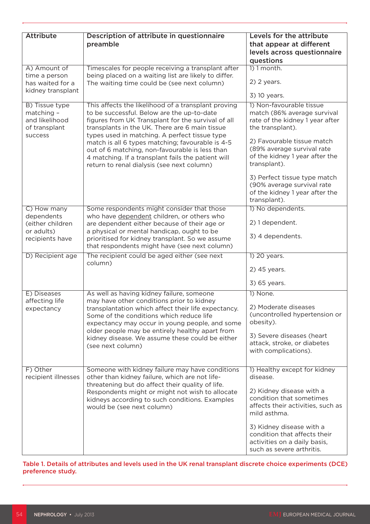| <b>Attribute</b>                                                                  | Description of attribute in questionnaire<br>preamble                                                                                                                                                                                                                                                                                                                                                                                                                | Levels for the attribute<br>that appear at different<br>levels across questionnaire<br>questions                                                                                                                             |
|-----------------------------------------------------------------------------------|----------------------------------------------------------------------------------------------------------------------------------------------------------------------------------------------------------------------------------------------------------------------------------------------------------------------------------------------------------------------------------------------------------------------------------------------------------------------|------------------------------------------------------------------------------------------------------------------------------------------------------------------------------------------------------------------------------|
| A) Amount of<br>time a person<br>has waited for a<br>kidney transplant            | Timescales for people receiving a transplant after<br>being placed on a waiting list are likely to differ.<br>The waiting time could be (see next column)                                                                                                                                                                                                                                                                                                            | 1) 1 month.<br>$2)$ 2 years.                                                                                                                                                                                                 |
|                                                                                   |                                                                                                                                                                                                                                                                                                                                                                                                                                                                      | 3) 10 years.                                                                                                                                                                                                                 |
| <b>B)</b> Tissue type<br>matching -<br>and likelihood<br>of transplant<br>success | This affects the likelihood of a transplant proving<br>to be successful. Below are the up-to-date<br>figures from UK Transplant for the survival of all<br>transplants in the UK. There are 6 main tissue<br>types used in matching. A perfect tissue type<br>match is all 6 types matching; favourable is 4-5<br>out of 6 matching, non-favourable is less than<br>4 matching. If a transplant fails the patient will<br>return to renal dialysis (see next column) | 1) Non-favourable tissue<br>match (86% average survival<br>rate of the kidney 1 year after<br>the transplant).<br>2) Favourable tissue match<br>(89% average survival rate<br>of the kidney 1 year after the<br>transplant). |
|                                                                                   |                                                                                                                                                                                                                                                                                                                                                                                                                                                                      | 3) Perfect tissue type match<br>(90% average survival rate<br>of the kidney 1 year after the<br>transplant).                                                                                                                 |
| C) How many<br>dependents<br>(either children<br>or adults)<br>recipients have    | Some respondents might consider that those<br>who have dependent children, or others who<br>are dependent either because of their age or<br>a physical or mental handicap, ought to be<br>prioritised for kidney transplant. So we assume<br>that respondents might have (see next column)                                                                                                                                                                           | 1) No dependents.<br>2) 1 dependent.<br>3) 4 dependents.                                                                                                                                                                     |
| D) Recipient age                                                                  | The recipient could be aged either (see next<br>column)                                                                                                                                                                                                                                                                                                                                                                                                              | 1) 20 years.<br>2) 45 years.<br>3) 65 years.                                                                                                                                                                                 |
| E) Diseases                                                                       | As well as having kidney failure, someone                                                                                                                                                                                                                                                                                                                                                                                                                            | 1) None.                                                                                                                                                                                                                     |
| affecting life<br>expectancy                                                      | may have other conditions prior to kidney<br>transplantation which affect their life expectancy.<br>Some of the conditions which reduce life<br>expectancy may occur in young people, and some<br>older people may be entirely healthy apart from<br>kidney disease. We assume these could be either<br>(see next column)                                                                                                                                            | 2) Moderate diseases<br>(uncontrolled hypertension or<br>obesity).                                                                                                                                                           |
|                                                                                   |                                                                                                                                                                                                                                                                                                                                                                                                                                                                      | 3) Severe diseases (heart<br>attack, stroke, or diabetes<br>with complications).                                                                                                                                             |
| F) Other<br>recipient illnesses                                                   | Someone with kidney failure may have conditions<br>other than kidney failure, which are not life-<br>threatening but do affect their quality of life.<br>Respondents might or might not wish to allocate<br>kidneys according to such conditions. Examples<br>would be (see next column)                                                                                                                                                                             | 1) Healthy except for kidney<br>disease.<br>2) Kidney disease with a<br>condition that sometimes<br>affects their activities, such as<br>mild asthma.                                                                        |
|                                                                                   |                                                                                                                                                                                                                                                                                                                                                                                                                                                                      | 3) Kidney disease with a<br>condition that affects their<br>activities on a daily basis,<br>such as severe arthritis.                                                                                                        |

Table 1. Details of attributes and levels used in the UK renal transplant discrete choice experiments (DCE) preference study.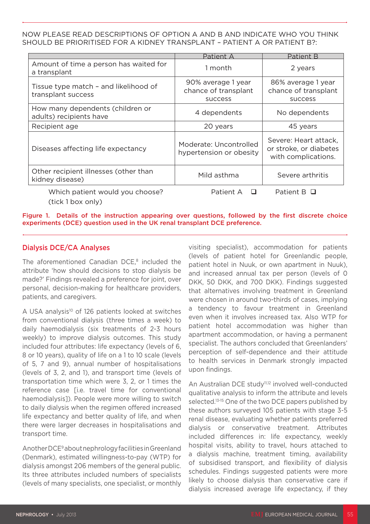#### NOW PLEASE READ DESCRIPTIONS OF OPTION A AND B AND INDICATE WHO YOU THINK SHOULD BE PRIORITISED FOR A KIDNEY TRANSPLANT – PATIENT A OR PATIENT B?:

|                                                             | <b>Patient A</b>                                             | <b>Patient B</b>                                                       |
|-------------------------------------------------------------|--------------------------------------------------------------|------------------------------------------------------------------------|
| Amount of time a person has waited for<br>a transplant      | 1 month                                                      | 2 years                                                                |
| Tissue type match - and likelihood of<br>transplant success | 90% average 1 year<br>chance of transplant<br><b>SUCCESS</b> | 86% average 1 year<br>chance of transplant<br><b>SUCCESS</b>           |
| How many dependents (children or<br>adults) recipients have | 4 dependents                                                 | No dependents                                                          |
| Recipient age                                               | 20 years                                                     | 45 years                                                               |
| Diseases affecting life expectancy                          | Moderate: Uncontrolled<br>hypertension or obesity            | Severe: Heart attack,<br>or stroke, or diabetes<br>with complications. |
| Other recipient illnesses (other than<br>kidney disease)    | Mild asthma                                                  | Severe arthritis                                                       |
| Which patient would you choose?                             | Patient A                                                    | Patient B                                                              |

(tick 1 box only)

Figure 1. Details of the instruction appearing over questions, followed by the first discrete choice experiments (DCE) question used in the UK renal transplant DCE preference.

### Dialysis DCE/CA Analyses

The aforementioned Canadian DCE.<sup>8</sup> included the attribute 'how should decisions to stop dialysis be made?' Findings revealed a preference for joint, over personal, decision-making for healthcare providers, patients, and caregivers.

A USA analysis<sup>10</sup> of 126 patients looked at switches from conventional dialysis (three times a week) to daily haemodialysis (six treatments of 2-3 hours weekly) to improve dialysis outcomes. This study included four attributes: life expectancy (levels of 6, 8 or 10 years), quality of life on a 1 to 10 scale (levels of 5, 7 and 9), annual number of hospitalisations (levels of 3, 2, and 1), and transport time (levels of transportation time which were 3, 2, or 1 times the reference case [i.e. travel time for conventional haemodialysis]). People were more willing to switch to daily dialysis when the regimen offered increased life expectancy and better quality of life, and when there were larger decreases in hospitalisations and transport time.

Another DCE9 about nephrology facilities in Greenland (Denmark), estimated willingness-to-pay (WTP) for dialysis amongst 206 members of the general public. Its three attributes included numbers of specialists (levels of many specialists, one specialist, or monthly visiting specialist), accommodation for patients (levels of patient hotel for Greenlandic people, patient hotel in Nuuk, or own apartment in Nuuk), and increased annual tax per person (levels of 0 DKK, 50 DKK, and 700 DKK). Findings suggested that alternatives involving treatment in Greenland were chosen in around two-thirds of cases, implying a tendency to favour treatment in Greenland even when it involves increased tax. Also WTP for patient hotel accommodation was higher than apartment accommodation, or having a permanent specialist. The authors concluded that Greenlanders' perception of self-dependence and their attitude to health services in Denmark strongly impacted upon findings.

An Australian DCE study<sup>11,12</sup> involved well-conducted qualitative analysis to inform the attribute and levels selected.<sup>13-15</sup> One of the two DCE papers published by these authors surveyed 105 patients with stage 3-5 renal disease, evaluating whether patients preferred dialysis or conservative treatment. Attributes included differences in: life expectancy, weekly hospital visits, ability to travel, hours attached to a dialysis machine, treatment timing, availability of subsidised transport, and flexibility of dialysis schedules. Findings suggested patients were more likely to choose dialysis than conservative care if dialysis increased average life expectancy, if they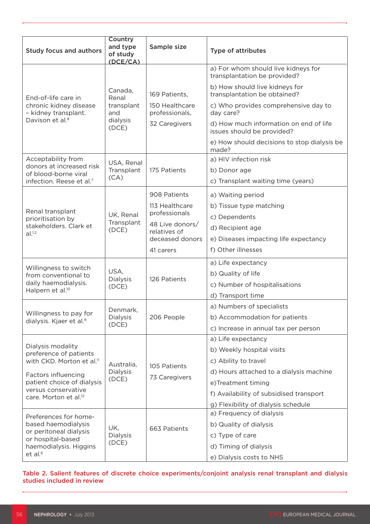| <b>Study focus and authors</b>                                | Country<br>and type<br>of study<br>(DCE/CA)                | Sample size                                                                           | <b>Type of attributes</b>                                            |
|---------------------------------------------------------------|------------------------------------------------------------|---------------------------------------------------------------------------------------|----------------------------------------------------------------------|
|                                                               | Canada,<br>Renal<br>transplant<br>and<br>dialysis<br>(DCE) |                                                                                       | a) For whom should live kidneys for<br>transplantation be provided?  |
| End-of-life care in                                           |                                                            | 169 Patients,                                                                         | b) How should live kidneys for<br>transplantation be obtained?       |
| chronic kidney disease<br>- kidney transplant.                |                                                            | 150 Healthcare<br>professionals,                                                      | c) Who provides comprehensive day to<br>day care?                    |
| Davison et al. <sup>8</sup>                                   |                                                            | 32 Caregivers                                                                         | d) How much information on end of life<br>issues should be provided? |
|                                                               |                                                            |                                                                                       | e) How should decisions to stop dialysis be<br>made?                 |
| Acceptability from                                            | USA, Renal<br>Transplant<br>(CA)                           |                                                                                       | a) HIV infection risk                                                |
| donors at increased risk<br>of blood-borne viral              |                                                            | 175 Patients                                                                          | b) Donor age                                                         |
| infection. Reese et al. <sup>7</sup>                          |                                                            |                                                                                       | c) Transplant waiting time (years)                                   |
|                                                               | UK, Renal<br>Transplant<br>(DCE)                           | 908 Patients                                                                          | a) Waiting period                                                    |
|                                                               |                                                            | 113 Healthcare<br>professionals<br>48 Live donors/<br>relatives of<br>deceased donors | b) Tissue type matching                                              |
| Renal transplant<br>prioritisation by                         |                                                            |                                                                                       | c) Dependents                                                        |
| stakeholders. Clark et                                        |                                                            |                                                                                       | d) Recipient age                                                     |
| al. <sup>1,2</sup>                                            |                                                            |                                                                                       | e) Diseases impacting life expectancy                                |
|                                                               |                                                            | 41 carers                                                                             | f) Other illnesses                                                   |
|                                                               | USA,<br><b>Dialysis</b><br>(DCE)                           | 126 Patients                                                                          | a) Life expectancy                                                   |
| Willingness to switch<br>from conventional to                 |                                                            |                                                                                       | b) Quality of life                                                   |
| daily haemodialysis.                                          |                                                            |                                                                                       | c) Number of hospitalisations                                        |
| Halpern et al. <sup>10</sup>                                  |                                                            |                                                                                       | d) Transport time                                                    |
|                                                               | Denmark,<br><b>Dialysis</b><br>(DCE)                       | 206 People                                                                            | a) Numbers of specialists                                            |
| Willingness to pay for<br>dialysis. Kjaer et al. <sup>9</sup> |                                                            |                                                                                       | b) Accommodation for patients                                        |
|                                                               |                                                            |                                                                                       | c) Increase in annual tax per person                                 |
|                                                               |                                                            | 105 Patients<br>73 Caregivers                                                         | a) Life expectancy                                                   |
| Dialysis modality<br>preference of patients                   |                                                            |                                                                                       | b) Weekly hospital visits                                            |
| with CKD. Morton et al. <sup>11</sup>                         | Australia,                                                 |                                                                                       | c) Ability to travel                                                 |
| Factors influencing                                           | <b>Dialysis</b><br>(DCE)                                   |                                                                                       | d) Hours attached to a dialysis machine                              |
| patient choice of dialysis                                    |                                                            |                                                                                       | e)Treatment timing                                                   |
| versus conservative<br>care. Morton et al. <sup>12</sup>      |                                                            |                                                                                       | f) Availability of subsidised transport                              |
|                                                               |                                                            |                                                                                       | g) Flexibility of dialysis schedule                                  |
| Preferences for home-                                         | UK,<br>Dialysis<br>(DCE)                                   | 663 Patients                                                                          | a) Frequency of dialysis                                             |
| based haemodialysis<br>or peritoneal dialysis                 |                                                            |                                                                                       | b) Quality of dialysis                                               |
| or hospital-based                                             |                                                            |                                                                                       | c) Type of care                                                      |
| haemodialysis. Higgins                                        |                                                            |                                                                                       | d) Timing of dialysis                                                |
| et al. <sup>6</sup>                                           |                                                            |                                                                                       | e) Dialysis costs to NHS                                             |

Table 2. Salient features of discrete choice experiments/conjoint analysis renal transplant and dialysis studies included in review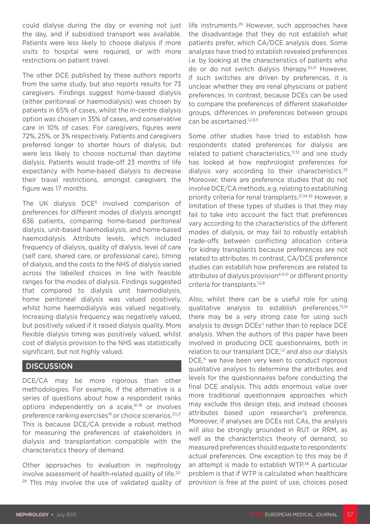could dialyse during the day or evening not just the day, and if subsidised transport was available. Patients were less likely to choose dialysis if more visits to hospital were required, or with more restrictions on patient travel.

The other DCE published by these authors reports from the same study, but also reports results for 73 caregivers. Findings suggest home-based dialysis (either peritoneal or haemodialysis) was chosen by patients in 65% of cases, whilst the in-centre dialysis option was chosen in 35% of cases, and conservative care in 10% of cases. For caregivers, figures were 72%, 25%, or 3% respectively. Patients and caregivers preferred longer to shorter hours of dialysis, but were less likely to choose nocturnal than daytime dialysis. Patients would trade-off 23 months of life expectancy with home-based dialysis to decrease their travel restrictions, amongst caregivers the figure was 17 months.

The UK dialysis DCE<sup>6</sup> involved comparison of preferences for different modes of dialysis amongst 636 patients, comparing home-based peritoneal dialysis, unit-based haemodialysis, and home-based haemodialysis. Attribute levels, which included frequency of dialysis, quality of dialysis, level of care (self care, shared care, or professional care), timing of dialysis, and the costs to the NHS of dialysis varied across the labelled choices in line with feasible ranges for the modes of dialysis. Findings suggested that compared to dialysis unit haemodialysis, home peritoneal dialysis was valued positively, whilst home haemodialysis was valued negatively. Increasing dialysis frequency was negatively valued, but positively valued if it raised dialysis quality. More flexible dialysis timing was positively valued, whilst cost of dialysis provision to the NHS was statistically significant, but not highly valued.

#### **DISCUSSION**

DCE/CA may be more rigorous than other methodologies. For example, if the alternative is a series of questions about how a respondent ranks options independently on a scale,16-18 or involves preference ranking exercises<sup>19</sup> or choice scenarios.<sup>20,21</sup> This is because DCE/CA provide a robust method for measuring the preferences of stakeholders in dialysis and transplantation compatible with the characteristics theory of demand.

Other approaches to evaluation in nephrology involve assessment of health-related quality of life.22- <sup>28</sup> This may involve the use of validated quality of life instruments.29 However, such approaches have the disadvantage that they do not establish what patients prefer, which CA/DCE analysis does. Some analyses have tried to establish revealed preferences i.e. by looking at the characteristics of patients who do or do not switch dialysis therapy.30,31 However, if such switches are driven by preferences, it is unclear whether they are renal physicians or patient preferences. In contrast, because DCEs can be used to compare the preferences of different stakeholder groups, differences in preferences between groups can be ascertained.<sup>1,2,8,11</sup>

Some other studies have tried to establish how respondents stated preferences for dialysis are related to patient characteristics,<sup>17,32</sup> and one study has looked at how nephrologist preferences for dialysis vary according to their characteristics. $33$ Moreover, there are preference studies that do not involve DCE/CA methods, e.g. relating to establishing priority criteria for renal transplants.21,34,35 However, a limitation of these types of studies is that they may fail to take into account the fact that preferences vary according to the characteristics of the different modes of dialysis, or may fail to robustly establish trade-offs between conflicting allocation criteria for kidney transplants because preferences are not related to attributes. In contrast, CA/DCE preference studies can establish how preferences are related to attributes of dialysis provision<sup>6,9,10</sup> or different priority criteria for transplants.<sup>1,2,8</sup>

Also, whilst there can be a useful role for using qualitative analysis to establish preferences,<sup>13,14</sup> there may be a very strong case for using such analysis to design DCEs<sup>11</sup> rather than to replace DCE analysis. When the authors of this paper have been involved in producing DCE questionnaires, both in relation to our transplant DCE,<sup>1,2</sup> and also our dialysis DCE,<sup>6</sup> we have been very keen to conduct rigorous qualitative analysis to determine the attributes and levels for the questionnaires before conducting the final DCE analysis. This adds enormous value over more traditional questionnaire approaches which may exclude this design step, and instead chooses attributes based upon researcher's preference. Moreover, if analyses are DCEs not CAs, the analysis will also be strongly grounded in RUT or RRM, as well as the characteristics theory of demand, so measured preferences should equate to respondents' actual preferences. One exception to this may be if an attempt is made to establish WTP.<sup>36</sup> A particular problem is that if WTP is calculated when healthcare provision is free at the point of use, choices posed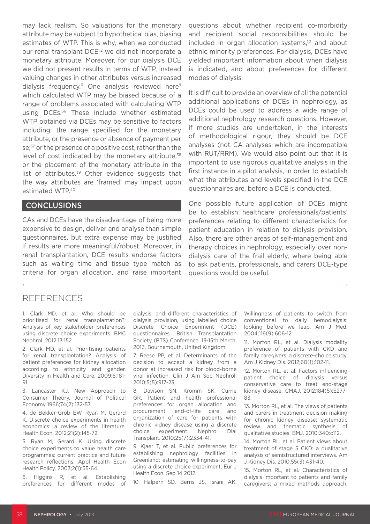may lack realism. So valuations for the monetary attribute may be subject to hypothetical bias, biasing estimates of WTP. This is why, when we conducted our renal transplant DCE1,2 we did not incorporate a monetary attribute. Moreover, for our dialysis DCE we did not present results in terms of WTP, instead valuing changes in other attributes versus increased dialysis frequency.<sup>6</sup> One analysis reviewed here<sup>9</sup> which calculated WTP may be biased because of a range of problems associated with calculating WTP using DCEs.36 These include whether estimated WTP obtained via DCEs may be sensitive to factors including: the range specified for the monetary attribute, or the presence or absence of payment per se;<sup>37</sup> or the presence of a positive cost, rather than the level of cost indicated by the monetary attribute;<sup>38</sup> or the placement of the monetary attribute in the list of attributes.<sup>39</sup> Other evidence suggests that the way attributes are 'framed' may impact upon estimated WTP.40

#### **CONCLUSIONS**

CAs and DCEs have the disadvantage of being more expensive to design, deliver and analyse than simple questionnaires, but extra expense may be justified if results are more meaningful/robust. Moreover, in renal transplantation, DCE results endorse factors such as waiting time and tissue type match as criteria for organ allocation, and raise important

questions about whether recipient co-morbidity and recipient social responsibilities should be included in organ allocation systems, $1,2$  and about ethnic minority preferences. For dialysis, DCEs have yielded important information about when dialysis is indicated, and about preferences for different modes of dialysis.

It is difficult to provide an overview of all the potential additional applications of DCEs in nephrology, as DCEs could be used to address a wide range of additional nephrology research questions. However, if more studies are undertaken, in the interests of methodological rigour, they should be DCE analyses (not CA analyses which are incompatible with RUT/RRM). We would also point out that it is important to use rigorous qualitative analysis in the first instance in a pilot analysis, in order to establish what the attributes and levels specified in the DCE questionnaires are, before a DCE is conducted.

One possible future application of DCEs might be to establish healthcare professionals/patients' preferences relating to different characteristics for patient education in relation to dialysis provision. Also, there are other areas of self-management and therapy choices in nephrology, especially over nondialysis care of the frail elderly, where being able to ask patients, professionals, and carers DCE-type questions would be useful.

# **REFERENCES**

1. Clark MD, et al. Who should be prioritised for renal transplantation?: Analysis of key stakeholder preferences using discrete choice experiments. BMC Nephrol. 2012;13:152.

2. Clark MD, et al. Prioritising patients for renal transplantation? Analysis of patient preferences for kidney allocation according to ethnicity and gender. Diversity in Health and Care. 2009;6:181- 91.

3. Lancaster KJ, New Approach to Consumer Theory. Journal of Political Economy 1966;74(2):132-57.

4. de Bekker-Grob EW, Ryan M, Gerard K. Discrete choice experiments in health economics: a review of the literature. Health Econ. 2012;21(2):145-72.

5. Ryan M, Gerard K. Using discrete choice experiments to value health care programmes: current practice and future research reflections. Appl Health Econ Health Policy. 2003;2(1):55-64.

6. Higgins R, et al. Establishing preferences for different modes of dialysis, and different characteristics of dialysis provision, using labelled choice Discrete Choice Experiment (DCE) questionnaires. British Transplantation Society (BTS) Conference. 13-15th March, 2013, Bournemouth, United Kingdom.

7. Reese PP, et al. Determinants of the decision to accept a kidney from a donor at increased risk for blood-borne viral infection. Clin J Am Soc Nephrol. 2010;5(5):917-23.

8. Davison SN, Kromm SK, Currie GR. Patient and health professional preferences for organ allocation and procurement, end-of-life care and organization of care for patients with chronic kidney disease using a discrete choice experiment. Nephrol Dial Transplant. 2010;25(7):2334-41.

9. Kjaer T, et al. Public preferences for establishing nephrology facilities in Greenland: estimating willingness-to-pay using a discrete choice experiment. Eur J Health Econ. Sep 14 2012.

10. Halpern SD, Berns JS, Israni AK.

Willingness of patients to switch from conventional to daily hemodialysis: looking before we leap. Am J Med. 2004;116(9):606-12.

11. Morton RL, et al. Dialysis modality preference of patients with CKD and family caregivers: a discrete-choice study. Am J Kidney Dis. 2012;60(1):102-11.

12. Morton RL, et al. Factors influencing patient choice of dialysis versus conservative care to treat end-stage kidney disease. CMAJ. 2012;184(5):E277- 83.

13. Morton RL, et al. The views of patients and carers in treatment decision making for chronic kidney disease: systematic review and thematic synthesis of qualitative studies. BMJ. 2010;340:c112.

14. Morton RL, et al. Patient views about treatment of stage 5 CKD: a qualitative analysis of semistructured interviews. Am J Kidney Dis. 2010;55(3):431-40.

15. Morton RL, et al. Characteristics of dialysis important to patients and family caregivers: a mixed methods approach.